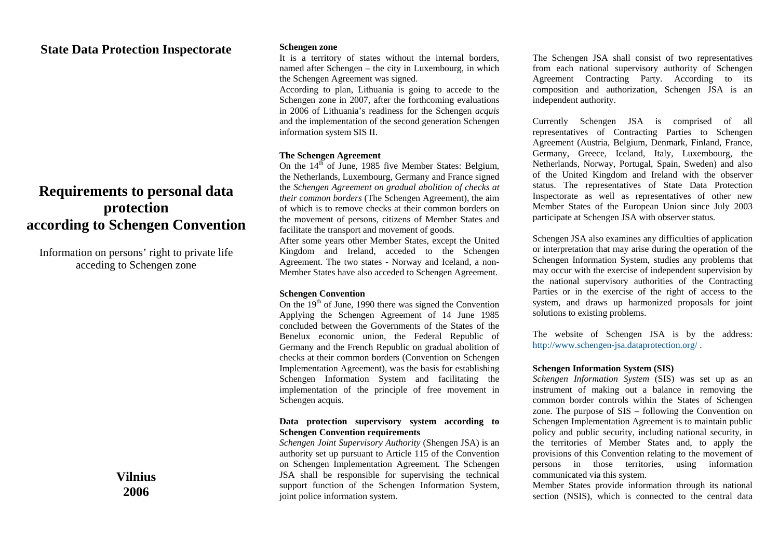# **State Data Protection Inspectorate**

# **Requirements to personal data protection according to Schengen Convention**

Information on persons' right to private life acceding to Schengen zone

> **Vilnius 2006**

#### **Schengen zone**

It is a territory of states without the internal borders, named after Schengen – the city in Luxembourg, in which the Schengen Agreement was signed.

According to plan, Lithuania is going to accede to the Schengen zone in 2007, after the forthcoming evaluations in 2006 of Lithuania's readiness for the Schengen *acquis*  and the implementation of the second generation Schengen information system SIS II.

#### **The Schengen Agreement**

On the  $14^{th}$  of June, 1985 five Member States: Belgium, the Netherlands, Luxembourg, Germany and France signed the *Schengen Agreement on gradual abolition of checks at their common borders* (The Schengen Agreement), the aim of which is to remove checks at their common borders on the movement of persons, citizens of Member States and facilitate the transport and movement of goods.

After some years other Member States, except the United Kingdom and Ireland, acceded to the Schengen Agreement. The two states - Norway and Iceland, a non-Member States have also acceded to Schengen Agreement.

#### **Schengen Convention**

On the  $19<sup>th</sup>$  of June, 1990 there was signed the Convention Applying the Schengen Agreement of 14 June 1985 concluded between the Governments of the States of the Benelux economic union, the Federal Republic of Germany and the French Republic on gradual abolition of checks at their common borders (Convention on Schengen Implementation Agreement), was the basis for establishing Schengen Information System and facilitating the implementation of the principle of free movement in Schengen acquis.

## **Data protection supervisory system according to Schengen Convention requirements**

*Schengen Joint Supervisory Authority* (Shengen JSA) is an authority set up pursuant to Article 115 of the Convention on Schengen Implementation Agreement. The Schengen JSA shall be responsible for supervising the technical support function of the Schengen Information System, joint police information system.

The Schengen JSA shall consist of two representatives from each national supervisory authority of Schengen Agreement Contracting Party. According to its composition and authorization, Schengen JSA is an independent authority.

Currently Schengen JSA is comprised of all representatives of Contracting Parties to Schengen Agreement (Austria, Belgium, Denmark, Finland, France, Germany, Greece, Iceland, Italy, Luxembourg, the Netherlands, Norway, Portugal, Spain, Sweden) and also of the United Kingdom and Ireland with the observer status. The representatives of State Data Protection Inspectorate as well as representatives of other new Member States of the European Union since July 2003 participate at Schengen JSA with observer status.

Schengen JSA also examines any difficulties of application or interpretation that may arise during the operation of the Schengen Information System, studies any problems that may occur with the exercise of independent supervision by the national supervisory authorities of the Contracting Parties or in the exercise of the right of access to the system, and draws up harmonized proposals for joint solutions to existing problems.

The website of Schengen JSA is by the address: <http://www.schengen-jsa.dataprotection.org/>.

# **Schengen Information System (SIS)**

*Schengen Information System* (SIS) was set up as an instrument of making out a balance in removing the common border controls within the States of Schengen zone. The purpose of SIS – following the Convention on Schengen Implementation Agreement is to maintain public policy and public security, including national security, in the territories of Member States and, to apply the provisions of this Convention relating to the movement of persons in those territories, using information communicated via this system.

Member States provide information through its national section (NSIS), which is connected to the central data